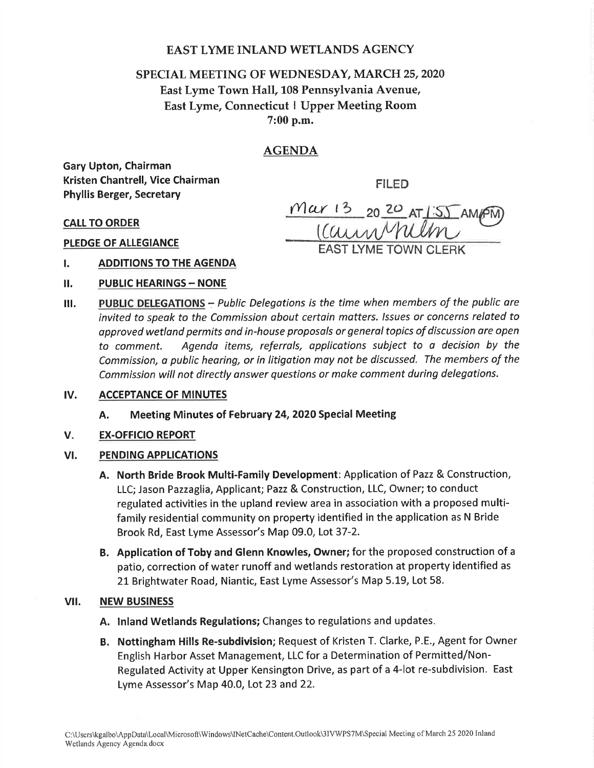## EAST LYME INLAND WETLANDS AGENCY

# SPECIAL MEETING OF WEDNESDAY, MARCH 25,2020 East Lyme Town Hall,108 Pennsylvania Avenue, East Lyme, Connecticut I Upper Meeting Room 7:00 p.m.

## AGENDA

 $Mar 13$ 

 $(\mathcal{C}% _{M_{1}},\mathcal{C}_{M_{2}})$ 

Gary Upton, Chairman Kristen Chantrell, Vice Chairman Phyllis Berger, Secretary

FILED

20 20 AT 1:55 AM/PM

CALL TO ORDER

PLEDGE OF ALLEGIANCE

#### ADDITIONS TO THE AGENDA t.

- **PUBLIC HEARINGS NONE** il.
- PUBLIC DELEGATIONS Public Delegations is the time when members of the public are **EXAMPLE CONSTRUISED FOR A SUITE DELIGATIONS** IS the time when members by the passiculated to invited to speak to the Commission about certain matters. Issues or concerns related to approved wetland permits and in-house proposals or general topics of discussion are open to comment. Agendo items, referrals, opplications subject to o decision by the Commission, a public hearing, or in litigation may not be discussed. The members of the Commission will not directly answer questions or make comment during delegotions. ilt.
- lv. ACCEPTANCE OF MINUTES
	- A. Meeting Minutes of February 24,2O20 Special Meeting
- $V_{\star}$ EX.OFFICIO REPORT

### **VI. PENDING APPLICATIONS**

- A. North Bride Brook Multi-Family Development: Application of Pazz & Construction, LLC; Jason Pazzaglia, Applicant; Pazz & Construction, LLC, Owner; to conduct regulated activities in the upland review area in association with a proposed multifamily residential community on property identified in the application as N Bride Brook Rd, East Lyme Assessor's Map 09.0, Lot 37-2.
- B. Application of Toby and Glenn Knowles, Owner; for the proposed construction of <sup>a</sup> patio, correction of water runoff and wetlands restoration at property identified as 21 Brightwater Road, Niantic, East Lyme Assessor's Map 5.19, Lot 58.

### vil. NEW BUSINESS

- A. lnland Wetlands Regulations; Changes to regulations and updates
- B. Nottingham Hills Re-subdivision; Request of Kristen T. Clarke, P.E., Agent for Owner English Harbor Asset Management, LLC for a Determination of Permitted/Non-Regulated Activity at Upper Kensington Drive, as part of a 4-lot re-subdivision. East Lyme Assessor's Map 40.0, Lot 23 and 22.